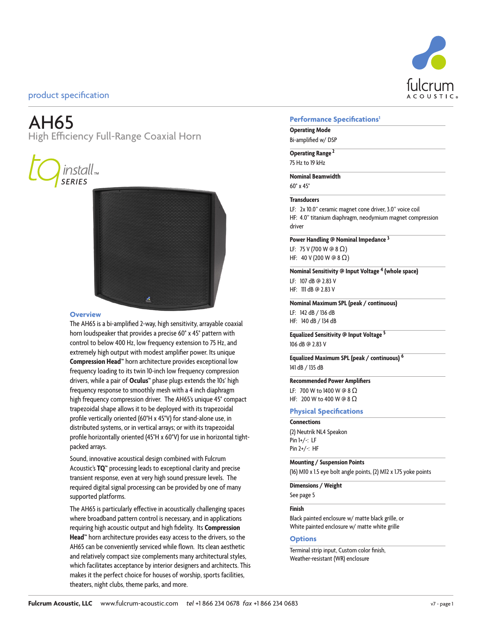

# AH65

High Efficiency Full-Range Coaxial Horn





#### **Overview**

The AH65 is a bi-amplified 2-way, high sensitivity, arrayable coaxial horn loudspeaker that provides a precise 60° x 45° pattern with control to below 400 Hz, low frequency extension to 75 Hz, and extremely high output with modest amplifier power. Its unique **Compression Head™** horn architecture provides exceptional low frequency loading to its twin 10-inch low frequency compression drivers, while a pair of **Oculus™** phase plugs extends the 10s' high frequency response to smoothly mesh with a 4 inch diaphragm high frequency compression driver. The AH65's unique 45° compact trapezoidal shape allows it to be deployed with its trapezoidal profile vertically oriented (60°H x 45°V) for stand-alone use, in distributed systems, or in vertical arrays; or with its trapezoidal profile horizontally oriented (45°H x 60°V) for use in horizontal tightpacked arrays.

Sound, innovative acoustical design combined with Fulcrum Acoustic's **TQ™** processing leads to exceptional clarity and precise transient response, even at very high sound pressure levels. The required digital signal processing can be provided by one of many supported platforms.

The AH65 is particularly effective in acoustically challenging spaces where broadband pattern control is necessary, and in applications requiring high acoustic output and high fidelity. Its **Compression Head™** horn architecture provides easy access to the drivers, so the AH65 can be conveniently serviced while flown. Its clean aesthetic and relatively compact size complements many architectural styles, which facilitates acceptance by interior designers and architects. This makes it the perfect choice for houses of worship, sports facilities, theaters, night clubs, theme parks, and more.

#### **Performance Specifications1**

### **Operating Mode**

Bi-amplified w/ DSP

**Operating Range<sup>2</sup>** 75 Hz to 19 kHz

**Nominal Beamwidth**

60° x 45°

#### **Transducers**

LF: 2x 10.0" ceramic magnet cone driver, 3.0" voice coil HF: 4.0" titanium diaphragm, neodymium magnet compression driver

#### **Power Handling @ Nominal Impedance 3**

LF: 75 V (700 W @ 8 Ω) HF: 40 V (200 W @ 8 Ω)

**Nominal Sensitivity @ Input Voltage 4 (whole space)** LF: 107 dB @ 2.83 V HF: 111 dB @ 2.83 V

**Nominal Maximum SPL (peak / continuous)**

LF: 142 dB / 136 dB HF: 140 dB / 134 dB

**Equalized Sensitivity @ Input Voltage 5** 106 dB @ 2.83 V

**Equalized Maximum SPL (peak / continuous) 6** 141 dB / 135 dB

#### **Recommended Power Amplifiers**

LF: 700 W to 1400 W @ 8 Ω HF: 200 W to 400 W @ 8 Ω

#### **Physical Specifications**

**Connections**

(2) Neutrik NL4 Speakon Pin 1+/-: LF Pin 2+/-: HF

#### **Mounting / Suspension Points**

(16) M10 x 1.5 eye bolt angle points, (2) M12 x 1.75 yoke points

**Dimensions / Weight** See page 5

## **Finish**

Black painted enclosure w/ matte black grille, or White painted enclosure w/ matte white grille

#### **Options**

Terminal strip input, Custom color finish, Weather-resistant (WR) enclosure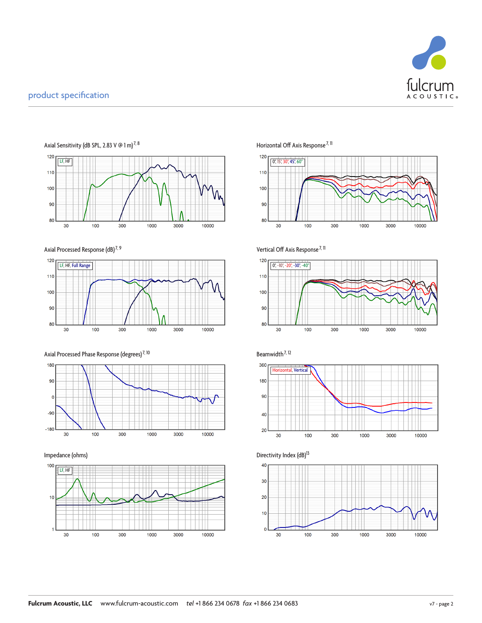



Axial Processed Response (dB)<sup>7, 9</sup>



Axial Processed Phase Response (degrees)<sup>7, 10</sup> Beamwidth<sup>7, 12</sup>







Vertical Off Axis Response<sup>7, 11</sup>









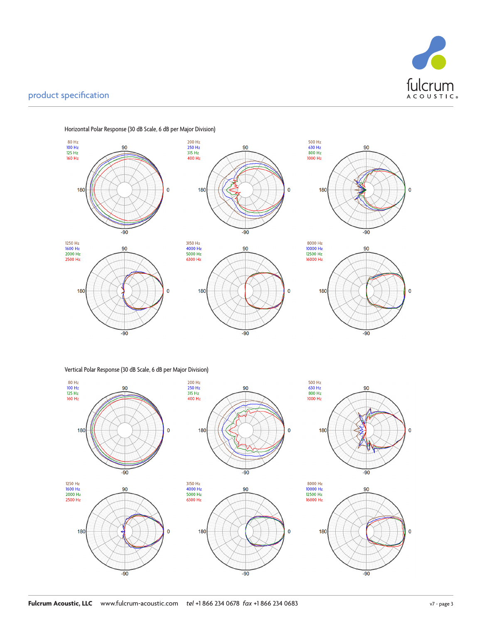



Horizontal Polar Response (30 dB Scale, 6 dB per Major Division)

Vertical Polar Response (30 dB Scale, 6 dB per Major Division)



 $\pmb{0}$ 

 $\pmb{0}$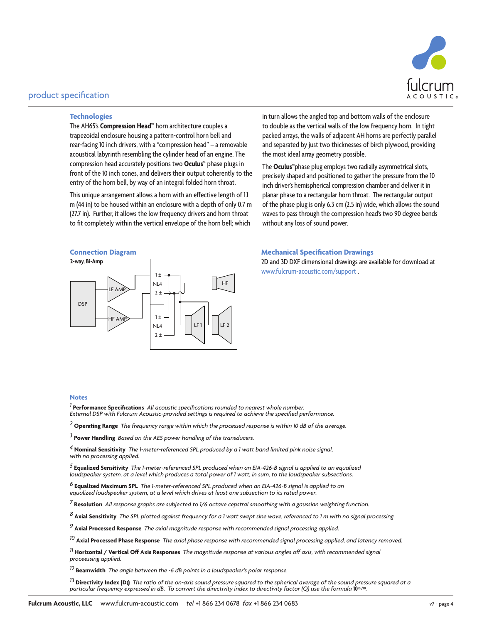

#### **Technologies**

The AH65's **Compression Head™** horn architecture couples a trapezoidal enclosure housing a pattern-control horn bell and rear-facing 10 inch drivers, with a "compression head" – a removable acoustical labyrinth resembling the cylinder head of an engine. The compression head accurately positions two **Oculus™** phase plugs in front of the 10 inch cones, and delivers their output coherently to the entry of the horn bell, by way of an integral folded horn throat.

This unique arrangement allows a horn with an effective length of 1.1 m (44 in) to be housed within an enclosure with a depth of only 0.7 m (27.7 in). Further, it allows the low frequency drivers and horn throat to fit completely within the vertical envelope of the horn bell; which



in turn allows the angled top and bottom walls of the enclosure to double as the vertical walls of the low frequency horn. In tight packed arrays, the walls of adjacent AH horns are perfectly parallel and separated by just two thicknesses of birch plywood, providing the most ideal array geometry possible.

The **Oculus™**phase plug employs two radially asymmetrical slots, precisely shaped and positioned to gather the pressure from the 10 inch driver's hemispherical compression chamber and deliver it in planar phase to a rectangular horn throat. The rectangular output of the phase plug is only 6.3 cm (2.5 in) wide, which allows the sound waves to pass through the compression head's two 90 degree bends without any loss of sound power.

#### **Connection Diagram Mechanical Specification Drawings**

2D and 3D DXF dimensional drawings are available for download at www.fulcrum-acoustic.com/support .

#### **Notes**

*1* **Performance Specifications** *All acoustic specifications rounded to nearest whole number. External DSP with Fulcrum Acoustic-provided settings is required to achieve the specified performance.*

*2* **Operating Range** *The frequency range within which the processed response is within 10 dB of the average.*

*3* **Power Handling** *Based on the AES power handling of the transducers.*

*4* **Nominal Sensitivity** *The 1-meter-referenced SPL produced by a 1 watt band limited pink noise signal, with no processing applied.*

*5* **Equalized Sensitivity** *The 1-meter-referenced SPL produced when an EIA-426-B signal is applied to an equalized loudspeaker system, at a level which produces a total power of 1 watt, in sum, to the loudspeaker subsections.* 

<sup>6</sup> **Equalized Maximum SPL** The 1-meter-referenced SPL produced when an EIA-426-B signal is applied to an<br>equalized loudspeaker system, at a level which drives at least one subsection to its rated power.

*7* **Resolution** *All response graphs are subjected to 1/6 octave cepstral smoothing with a gaussian weighting function.* 

*8* **Axial Sensitivity** *The SPL plotted against frequency for a 1 watt swept sine wave, referenced to 1 m with no signal processing.*

*9* **Axial Processed Response** *The axial magnitude response with recommended signal processing applied.*

*10* **Axial Processed Phase Response** *The axial phase response with recommended signal processing applied, and latency removed.*

*11* **Horizontal / Vertical Off Axis Responses** *The magnitude response at various angles off axis, with recommended signal proceessing applied.*

*12* **Beamwidth** *The angle between the -6 dB points in a loudspeaker's polar response.*

<sup>13</sup> **Directivity Index (Di)** The ratio of the on-axis sound pressure squared to the spherical average of the sound pressure squared at a<br>particular frequency expressed in dB. To convert the directivity index to directivi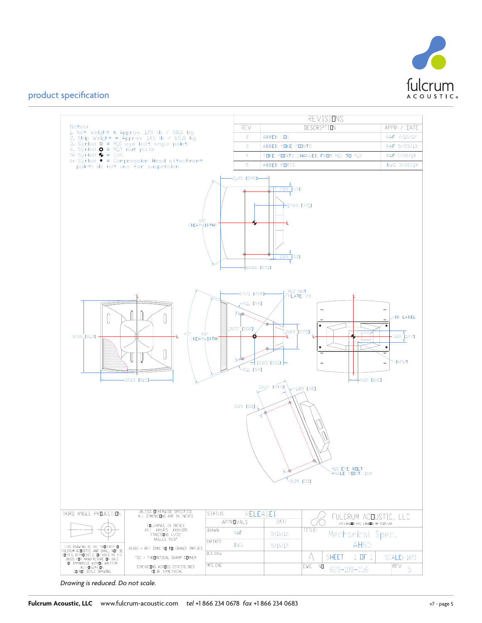



*Drawing is reduced. Do not scale.*